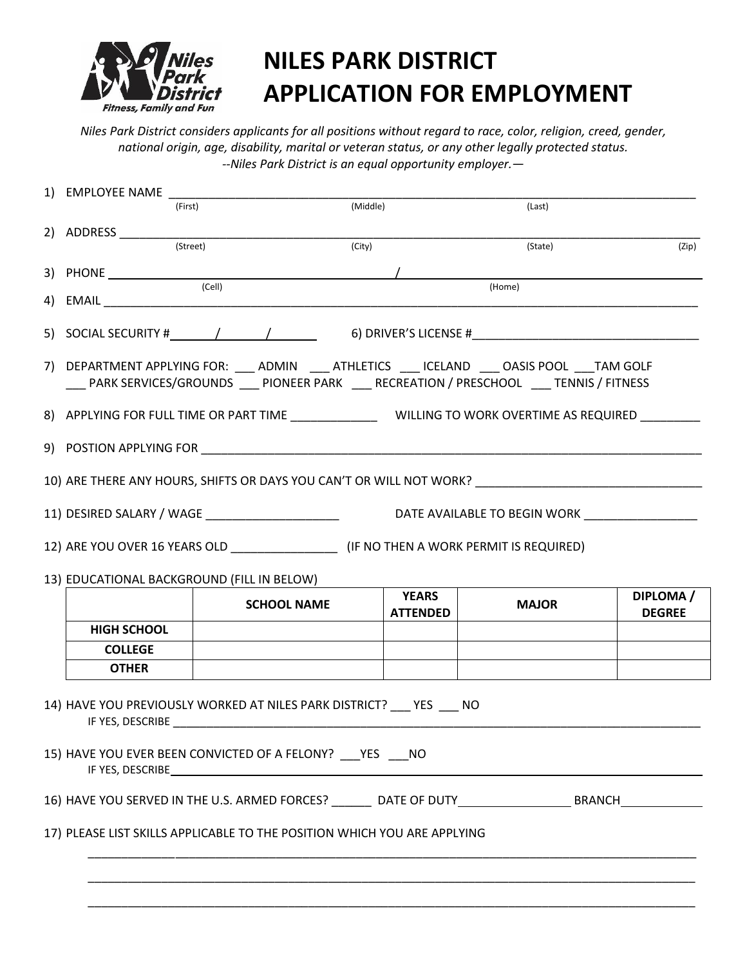

# **NILES PARK DISTRICT APPLICATION FOR EMPLOYMENT**

*Niles Park District considers applicants for all positions without regard to race, color, religion, creed, gender, national origin, age, disability, marital or veteran status, or any other legally protected status. --Niles Park District is an equal opportunity employer.—*

| 1) EMPLOYEE NAME                                                                                                                                                                          |                                                                                                                                                                                                                                                                                                                                                         |                                                                                                    |              |                            |  |
|-------------------------------------------------------------------------------------------------------------------------------------------------------------------------------------------|---------------------------------------------------------------------------------------------------------------------------------------------------------------------------------------------------------------------------------------------------------------------------------------------------------------------------------------------------------|----------------------------------------------------------------------------------------------------|--------------|----------------------------|--|
| (First)                                                                                                                                                                                   |                                                                                                                                                                                                                                                                                                                                                         | (Middle)                                                                                           | (Last)       |                            |  |
|                                                                                                                                                                                           |                                                                                                                                                                                                                                                                                                                                                         |                                                                                                    |              |                            |  |
| (Street)                                                                                                                                                                                  |                                                                                                                                                                                                                                                                                                                                                         | (City)                                                                                             | (State)      | (Zip)                      |  |
|                                                                                                                                                                                           |                                                                                                                                                                                                                                                                                                                                                         | $\sqrt{\phantom{a_{13}}\phantom{a_{14}}\phantom{a_{15}}\phantom{a_{16}}\phantom{a_{17}}}\,$ (Home) |              |                            |  |
|                                                                                                                                                                                           |                                                                                                                                                                                                                                                                                                                                                         |                                                                                                    |              |                            |  |
|                                                                                                                                                                                           | 5) SOCIAL SECURITY # ( ( ) ( ) ( 6) DRIVER'S LICENSE #                                                                                                                                                                                                                                                                                                  |                                                                                                    |              |                            |  |
| 7) DEPARTMENT APPLYING FOR: ___ ADMIN ____ ATHLETICS ___ ICELAND ___ OASIS POOL ___TAM GOLF<br>___ PARK SERVICES/GROUNDS ___ PIONEER PARK ___ RECREATION / PRESCHOOL ___ TENNIS / FITNESS |                                                                                                                                                                                                                                                                                                                                                         |                                                                                                    |              |                            |  |
|                                                                                                                                                                                           |                                                                                                                                                                                                                                                                                                                                                         |                                                                                                    |              |                            |  |
|                                                                                                                                                                                           |                                                                                                                                                                                                                                                                                                                                                         |                                                                                                    |              |                            |  |
|                                                                                                                                                                                           |                                                                                                                                                                                                                                                                                                                                                         |                                                                                                    |              |                            |  |
| DATE AVAILABLE TO BEGIN WORK                                                                                                                                                              |                                                                                                                                                                                                                                                                                                                                                         |                                                                                                    |              |                            |  |
|                                                                                                                                                                                           |                                                                                                                                                                                                                                                                                                                                                         |                                                                                                    |              |                            |  |
| 13) EDUCATIONAL BACKGROUND (FILL IN BELOW)                                                                                                                                                |                                                                                                                                                                                                                                                                                                                                                         |                                                                                                    |              |                            |  |
|                                                                                                                                                                                           | <b>SCHOOL NAME</b>                                                                                                                                                                                                                                                                                                                                      | <b>YEARS</b><br><b>ATTENDED</b>                                                                    | <b>MAJOR</b> | DIPLOMA /<br><b>DEGREE</b> |  |
| <b>HIGH SCHOOL</b>                                                                                                                                                                        |                                                                                                                                                                                                                                                                                                                                                         |                                                                                                    |              |                            |  |
| <b>COLLEGE</b>                                                                                                                                                                            |                                                                                                                                                                                                                                                                                                                                                         |                                                                                                    |              |                            |  |
| <b>OTHER</b>                                                                                                                                                                              |                                                                                                                                                                                                                                                                                                                                                         |                                                                                                    |              |                            |  |
| IF YES, DESCRIBE                                                                                                                                                                          | 14) HAVE YOU PREVIOUSLY WORKED AT NILES PARK DISTRICT? YES NO<br>IF YES, DESCRIBE THE RESERVE THAT IS A RESERVE THAT IS A REPORT OF THE RESERVE THAT IS A RESERVE THAT IS A RESERVE THAT IS A REPORT OF THE RESERVE THAT IS A REPORT OF THE RESERVE THAT IS A REPORT OF THE RESERVE THAT IS A R<br>15) HAVE YOU EVER BEEN CONVICTED OF A FELONY? PES NO |                                                                                                    |              |                            |  |
|                                                                                                                                                                                           |                                                                                                                                                                                                                                                                                                                                                         |                                                                                                    |              |                            |  |
|                                                                                                                                                                                           |                                                                                                                                                                                                                                                                                                                                                         |                                                                                                    |              |                            |  |
| 17) PLEASE LIST SKILLS APPLICABLE TO THE POSITION WHICH YOU ARE APPLYING                                                                                                                  |                                                                                                                                                                                                                                                                                                                                                         |                                                                                                    |              |                            |  |
|                                                                                                                                                                                           |                                                                                                                                                                                                                                                                                                                                                         |                                                                                                    |              |                            |  |
|                                                                                                                                                                                           |                                                                                                                                                                                                                                                                                                                                                         |                                                                                                    |              |                            |  |
|                                                                                                                                                                                           |                                                                                                                                                                                                                                                                                                                                                         |                                                                                                    |              |                            |  |
|                                                                                                                                                                                           |                                                                                                                                                                                                                                                                                                                                                         |                                                                                                    |              |                            |  |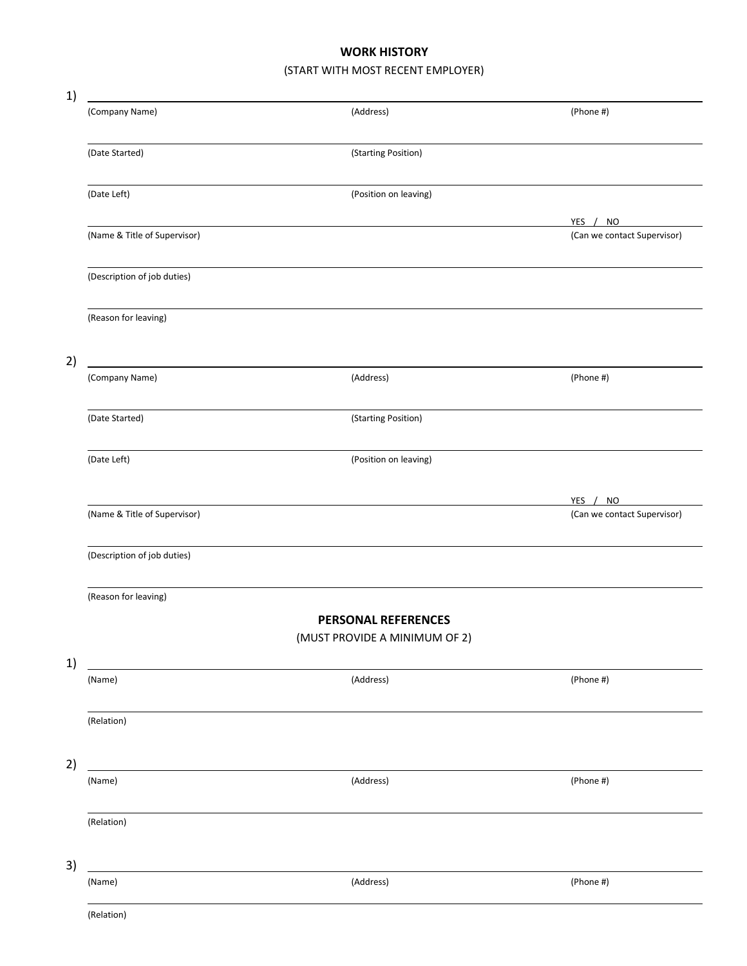#### **WORK HISTORY**

### (START WITH MOST RECENT EMPLOYER)

| 1) |                              |                               |                                         |
|----|------------------------------|-------------------------------|-----------------------------------------|
|    | (Company Name)               | (Address)                     | (Phone #)                               |
|    | (Date Started)               | (Starting Position)           |                                         |
|    | (Date Left)                  | (Position on leaving)         |                                         |
|    | (Name & Title of Supervisor) |                               | YES / NO<br>(Can we contact Supervisor) |
|    | (Description of job duties)  |                               |                                         |
|    | (Reason for leaving)         |                               |                                         |
| 2) |                              |                               |                                         |
|    | (Company Name)               | (Address)                     | (Phone #)                               |
|    | (Date Started)               | (Starting Position)           |                                         |
|    | (Date Left)                  | (Position on leaving)         |                                         |
|    |                              |                               | YES / NO                                |
|    | (Name & Title of Supervisor) |                               | (Can we contact Supervisor)             |
|    | (Description of job duties)  |                               |                                         |
|    | (Reason for leaving)         |                               |                                         |
|    |                              | <b>PERSONAL REFERENCES</b>    |                                         |
|    |                              | (MUST PROVIDE A MINIMUM OF 2) |                                         |
| 1) | (Name)                       | (Address)                     | (Phone #)                               |
|    | (Relation)                   |                               |                                         |
| 2) |                              |                               |                                         |
|    | (Name)                       | (Address)                     | (Phone #)                               |
|    | (Relation)                   |                               |                                         |
| 3) |                              |                               |                                         |
|    | (Name)                       | (Address)                     | (Phone #)                               |
|    | (Relation)                   |                               |                                         |